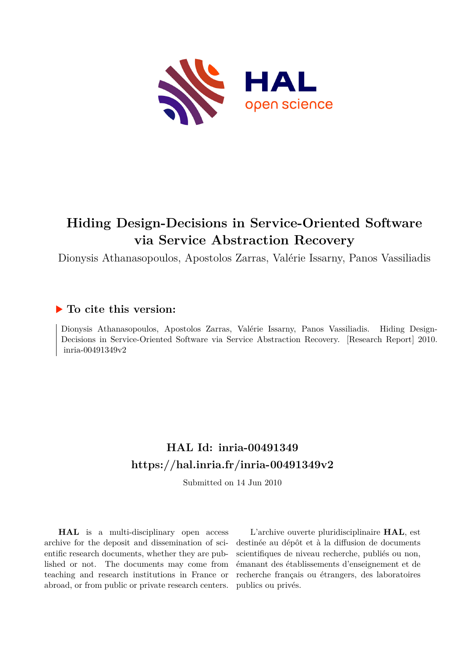

# **Hiding Design-Decisions in Service-Oriented Software via Service Abstraction Recovery**

Dionysis Athanasopoulos, Apostolos Zarras, Valérie Issarny, Panos Vassiliadis

# **To cite this version:**

Dionysis Athanasopoulos, Apostolos Zarras, Valérie Issarny, Panos Vassiliadis. Hiding Design-Decisions in Service-Oriented Software via Service Abstraction Recovery. [Research Report] 2010. inria-00491349v2

# **HAL Id: inria-00491349 <https://hal.inria.fr/inria-00491349v2>**

Submitted on 14 Jun 2010

**HAL** is a multi-disciplinary open access archive for the deposit and dissemination of scientific research documents, whether they are published or not. The documents may come from teaching and research institutions in France or abroad, or from public or private research centers.

L'archive ouverte pluridisciplinaire **HAL**, est destinée au dépôt et à la diffusion de documents scientifiques de niveau recherche, publiés ou non, émanant des établissements d'enseignement et de recherche français ou étrangers, des laboratoires publics ou privés.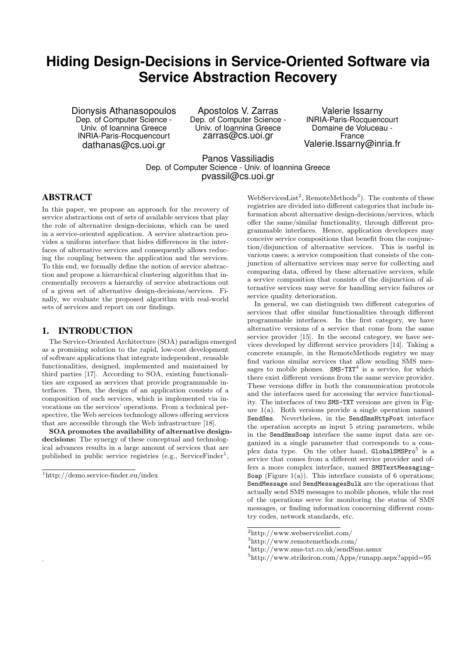# **Hiding Design-Decisions in Service-Oriented Software via Service Abstraction Recovery**

Dionysis Athanasopoulos Dep. of Computer Science - Univ. of Ioannina Greece INRIA-Paris-Rocquencourt dathanas@cs.uoi.gr

Apostolos V. Zarras Dep. of Computer Science - Univ. of Ioannina Greece zarras@cs.uoi.gr

Valerie Issarny INRIA-Paris-Rocquencourt Domaine de Voluceau - France Valerie.Issarny@inria.fr

Panos Vassiliadis Dep. of Computer Science - Univ. of Ioannina Greece pvassil@cs.uoi.gr

# ABSTRACT

In this paper, we propose an approach for the recovery of service abstractions out of sets of available services that play the role of alternative design-decisions, which can be used in a service-oriented application. A service abstraction provides a uniform interface that hides differences in the interfaces of alternative services and consequently allows reducing the coupling between the application and the services. To this end, we formally define the notion of service abstraction and propose a hierarchical clustering algorithm that incrementally recovers a hierarchy of service abstractions out of a given set of alternative design-decisions/services. Finally, we evaluate the proposed algorithm with real-world sets of services and report on our findings.

# 1. INTRODUCTION

The Service-Oriented Architecture (SOA) paradigm emerged as a promising solution to the rapid, low-cost development of software applications that integrate independent, reusable functionalities, designed, implemented and maintained by third parties [17]. According to SOA, existing functionalities are exposed as services that provide programmable interfaces. Then, the design of an application consists of a composition of such services, which is implemented via invocations on the services' operations. From a technical perspective, the Web services technology allows offering services that are accessible through the Web infrastructure [18].

SOA promotes the availability of alternative designdecisions: The synergy of these conceptual and technological advances results in a large amount of services that are published in public service registries (e.g., ServiceFinder<sup>1</sup>,

.

 $WebServiceList<sup>2</sup>, RemoteMethods<sup>3</sup>)$ . The contents of these registries are divided into different categories that include information about alternative design-decisions/services, which offer the same/similar functionality, through different programmable interfaces. Hence, application developers may conceive service compositions that benefit from the conjunction/disjunction of alternative services. This is useful in various cases; a service composition that consists of the conjunction of alternative services may serve for collecting and comparing data, offered by these alternative services, while a service composition that consists of the disjunction of alternative services may serve for handling service failures or service quality deterioration.

In general, we can distinguish two different categories of services that offer similar functionalities through different programmable interfaces. In the first category, we have alternative versions of a service that come from the same service provider [15]. In the second category, we have services developed by different service providers [14]. Taking a concrete example, in the RemoteMethods registry we may find various similar services that allow sending SMS messages to mobile phones.  $SMS-TXT<sup>4</sup>$  is a service, for which there exist different versions from the same service provider. These versions differ in both the communication protocols and the interfaces used for accessing the service functionality. The interfaces of two SMS-TXT versions are given in Figure 1(a). Both versions provide a single operation named SendSms. Nevertheless, in the SendSmsHttpPost interface the operation accepts as input 5 string parameters, while in the SendSmsSoap interface the same input data are organized in a single parameter that corresponds to a complex data type. On the other hand, GlobalSMSPro<sup>5</sup> is a service that comes from a different service provider and offers a more complex interface, named SMSTextMessaging-Soap (Figure 1(a)). This interface consists of 6 operations: SendMessage and SendMessagesBulk are the operations that actually send SMS messages to mobile phones, while the rest of the operations serve for monitoring the status of SMS messages, or finding information concerning different country codes, network standards, etc.

<sup>1</sup>http://demo.service-finder.eu/index

<sup>2</sup>http://www.webservicelist.com/

<sup>3</sup>http://www.remotemethods.com/

<sup>4</sup>http://www.sms-txt.co.uk/sendSms.asmx

<sup>5</sup>http://www.strikeiron.com/Apps/runapp.aspx?appid=95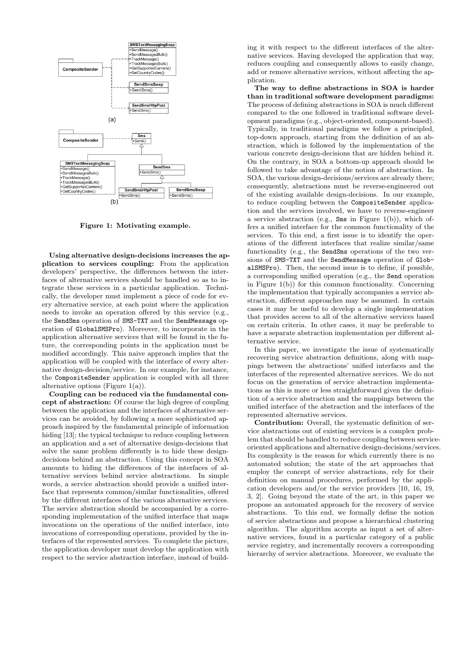

Figure 1: Motivating example.

Using alternative design-decisions increases the application to services coupling: From the application developers' perspective, the differences between the interfaces of alternative services should be handled so as to integrate these services in a particular application. Technically, the developer must implement a piece of code for every alternative service, at each point where the application needs to invoke an operation offered by this service (e.g., the SendSms operation of SMS-TXT and the SendMessage operation of GlobalSMSPro). Moreover, to incorporate in the application alternative services that will be found in the future, the corresponding points in the application must be modified accordingly. This naive approach implies that the application will be coupled with the interface of every alternative design-decision/service. In our example, for instance, the CompositeSender application is coupled with all three alternative options (Figure  $1(a)$ ).

Coupling can be reduced via the fundamental concept of abstraction: Of course the high degree of coupling between the application and the interfaces of alternative services can be avoided, by following a more sophisticated approach inspired by the fundamental principle of information hiding [13]; the typical technique to reduce coupling between an application and a set of alternative design-decisions that solve the same problem differently is to hide these designdecisions behind an abstraction. Using this concept in SOA amounts to hiding the differences of the interfaces of alternative services behind service abstractions. In simple words, a service abstraction should provide a unified interface that represents common/similar functionalities, offered by the different interfaces of the various alternative services. The service abstraction should be accompanied by a corresponding implementation of the unified interface that maps invocations on the operations of the unified interface, into invocations of corresponding operations, provided by the interfaces of the represented services. To complete the picture, the application developer must develop the application with respect to the service abstraction interface, instead of building it with respect to the different interfaces of the alternative services. Having developed the application that way, reduces coupling and consequently allows to easily change, add or remove alternative services, without affecting the application.

The way to define abstractions in SOA is harder than in traditional software development paradigms: The process of defining abstractions in SOA is much different compared to the one followed in traditional software development paradigms (e.g., object-oriented, component-based). Typically, in traditional paradigms we follow a principled, top-down approach, starting from the definition of an abstraction, which is followed by the implementation of the various concrete design-decisions that are hidden behind it. On the contrary, in SOA a bottom-up approach should be followed to take advantage of the notion of abstraction. In SOA, the various design-decisions/services are already there; consequently, abstractions must be reverse-engineered out of the existing available design-decisions. In our example, to reduce coupling between the CompositeSender application and the services involved, we have to reverse-engineer a service abstraction (e.g., Sms in Figure 1(b)), which offers a unified interface for the common functionality of the services. To this end, a first issue is to identify the operations of the different interfaces that realize similar/same functionality (e.g., the SendSms operations of the two versions of SMS-TXT and the SendMessage operation of GlobalSMSPro). Then, the second issue is to define, if possible, a corresponding unified operation (e.g., the Send operation in Figure 1(b)) for this common functionality. Concerning the implementation that typically accompanies a service abstraction, different approaches may be assumed. In certain cases it may be useful to develop a single implementation that provides access to all of the alternative services based on certain criteria. In other cases, it may be preferable to have a separate abstraction implementation per different alternative service.

In this paper, we investigate the issue of systematically recovering service abstraction definitions, along with mappings between the abstractions' unified interfaces and the interfaces of the represented alternative services. We do not focus on the generation of service abstraction implementations as this is more or less straightforward given the definition of a service abstraction and the mappings between the unified interface of the abstraction and the interfaces of the represented alternative services.

Contribution: Overall, the systematic definition of service abstractions out of existing services is a complex problem that should be handled to reduce coupling between serviceoriented applications and alternative design-decisions/services. Its complexity is the reason for which currently there is no automated solution; the state of the art approaches that employ the concept of service abstractions, rely for their definition on manual procedures, performed by the application developers and/or the service providers [10, 16, 19, 3, 2]. Going beyond the state of the art, in this paper we propose an automated approach for the recovery of service abstractions. To this end, we formally define the notion of service abstractions and propose a hierarchical clustering algorithm. The algorithm accepts as input a set of alternative services, found in a particular category of a public service registry, and incrementally recovers a corresponding hierarchy of service abstractions. Moreover, we evaluate the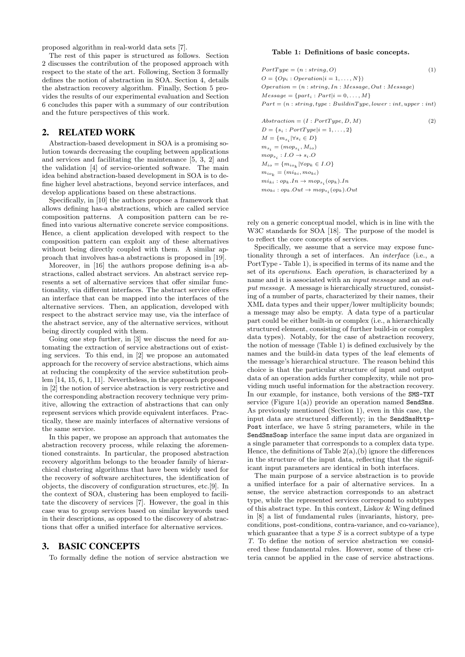proposed algorithm in real-world data sets [7].

The rest of this paper is structured as follows. Section 2 discusses the contribution of the proposed approach with respect to the state of the art. Following, Section 3 formally defines the notion of abstraction in SOA. Section 4, details the abstraction recovery algorithm. Finally, Section 5 provides the results of our experimental evaluation and Section 6 concludes this paper with a summary of our contribution and the future perspectives of this work.

# 2. RELATED WORK

Abstraction-based development in SOA is a promising solution towards decreasing the coupling between applications and services and facilitating the maintenance [5, 3, 2] and the validation [4] of service-oriented software. The main idea behind abstraction-based development in SOA is to define higher level abstractions, beyond service interfaces, and develop applications based on these abstractions.

Specifically, in [10] the authors propose a framework that allows defining has-a abstractions, which are called service composition patterns. A composition pattern can be refined into various alternative concrete service compositions. Hence, a client application developed with respect to the composition pattern can exploit any of these alternatives without being directly coupled with them. A similar approach that involves has-a abstractions is proposed in [19].

Moreover, in [16] the authors propose defining is-a abstractions, called abstract services. An abstract service represents a set of alternative services that offer similar functionality, via different interfaces. The abstract service offers an interface that can be mapped into the interfaces of the alternative services. Then, an application, developed with respect to the abstract service may use, via the interface of the abstract service, any of the alternative services, without being directly coupled with them.

Going one step further, in [3] we discuss the need for automating the extraction of service abstractions out of existing services. To this end, in [2] we propose an automated approach for the recovery of service abstractions, which aims at reducing the complexity of the service substitution problem [14, 15, 6, 1, 11]. Nevertheless, in the approach proposed in [2] the notion of service abstraction is very restrictive and the corresponding abstraction recovery technique very primitive, allowing the extraction of abstractions that can only represent services which provide equivalent interfaces. Practically, these are mainly interfaces of alternative versions of the same service.

In this paper, we propose an approach that automates the abstraction recovery process, while relaxing the aforementioned constraints. In particular, the proposed abstraction recovery algorithm belongs to the broader family of hierarchical clustering algorithms that have been widely used for the recovery of software architectures, the identification of objects, the discovery of configuration structures, etc.[9]. In the context of SOA, clustering has been employed to facilitate the discovery of services [7]. However, the goal in this case was to group services based on similar keywords used in their descriptions, as opposed to the discovery of abstractions that offer a unified interface for alternative services.

### 3. BASIC CONCEPTS

To formally define the notion of service abstraction we

#### Table 1: Definitions of basic concepts.

| $PortType = (n : string, O)$                                         | (1) |
|----------------------------------------------------------------------|-----|
| $O = \{Op_i : Operation   i = 1, \ldots, N\}\$                       |     |
| $Operation = (n : string, In : Message, Out : Message)$              |     |
| $Message = \{part_i : Part   i = 0, \ldots, M\}$                     |     |
| $Part = (n : string, type : BuildingType, lower : int, upper : int)$ |     |
|                                                                      |     |
| $Abstraction = (I : PortType, D, M)$                                 | (2) |

 $D = \{s_i : PortType | i = 1, ..., 2\}$  $M = \{m_{s_i} | \forall s_i \in D\}$  $m_{s_i} = (mop_{s_i}, M_{io})$  $mop_{s_i}: I.O \to s_i.O$  $M_{io} = \{m_{io_k} | \forall op_k \in I.O\}$  $m_{io_k} = (mi_{ki}, mo_{ki})$  $mi_{ki}: op_k. In \to mop_{s_i}(op_k). In$  $mo_{ki}: op_k.out \to mop_{s_i}(op_k).Out$ 

rely on a generic conceptual model, which is in line with the W3C standards for SOA [18]. The purpose of the model is to reflect the core concepts of services.

Specifically, we assume that a service may expose functionality through a set of interfaces. An interface (i.e., a PortType - Table 1), is specified in terms of its name and the set of its operations. Each operation, is characterized by a name and it is associated with an input message and an output message. A message is hierarchically structured, consisting of a number of parts, characterized by their names, their XML data types and their upper/lower multiplicity bounds; a message may also be empty. A data type of a particular part could be either built-in or complex (i.e., a hierarchically structured element, consisting of further build-in or complex data types). Notably, for the case of abstraction recovery, the notion of message (Table 1) is defined exclusively by the names and the build-in data types of the leaf elements of the message's hierarchical structure. The reason behind this choice is that the particular structure of input and output data of an operation adds further complexity, while not providing much useful information for the abstraction recovery. In our example, for instance, both versions of the SMS-TXT service (Figure 1(a)) provide an operation named SendSms. As previously mentioned (Section 1), even in this case, the input data are structured differently; in the SendSmsHttp-Post interface, we have 5 string parameters, while in the SendSmsSoap interface the same input data are organized in a single parameter that corresponds to a complex data type. Hence, the definitions of Table  $2(a)$ , (b) ignore the differences in the structure of the input data, reflecting that the significant input parameters are identical in both interfaces.

The main purpose of a service abstraction is to provide a unified interface for a pair of alternative services. In a sense, the service abstraction corresponds to an abstract type, while the represented services correspond to subtypes of this abstract type. In this context, Liskov & Wing defined in [8] a list of fundamental rules (invariants, history, preconditions, post-conditions, contra-variance, and co-variance), which guarantee that a type  $S$  is a correct subtype of a type T. To define the notion of service abstraction we considered these fundamental rules. However, some of these criteria cannot be applied in the case of service abstractions.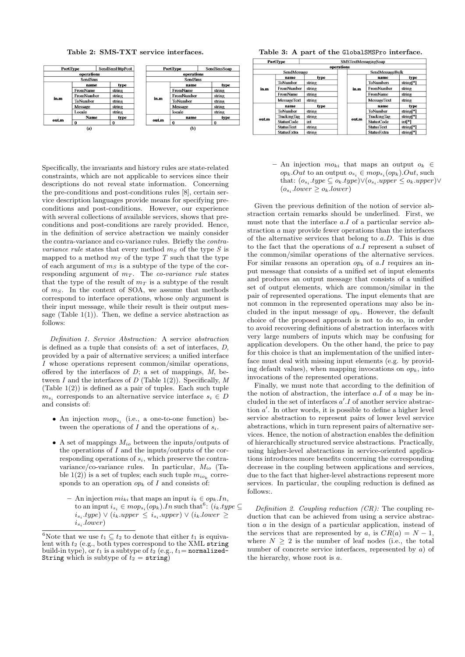Table 2: SMS-TXT service interfaces.



Specifically, the invariants and history rules are state-related constraints, which are not applicable to services since their descriptions do not reveal state information. Concerning the pre-conditions and post-conditions rules [8], certain service description languages provide means for specifying preconditions and post-conditions. However, our experience with several collections of available services, shows that preconditions and post-conditions are rarely provided. Hence, in the definition of service abstraction we mainly consider the contra-variance and co-variance rules. Briefly the contravariance rule states that every method  $m<sub>S</sub>$  of the type S is mapped to a method  $m<sub>T</sub>$  of the type T such that the type of each argument of  $m<sub>S</sub>$  is a subtype of the type of the corresponding argument of  $m<sub>T</sub>$ . The co-variance rule states that the type of the result of  $m<sub>T</sub>$  is a subtype of the result of  $m<sub>S</sub>$ . In the context of SOA, we assume that methods correspond to interface operations, whose only argument is their input message, while their result is their output message (Table  $1(1)$ ). Then, we define a service abstraction as follows:

Definition 1. Service Abstraction: A service abstraction is defined as a tuple that consists of: a set of interfaces, D, provided by a pair of alternative services; a unified interface I whose operations represent common/similar operations, offered by the interfaces of  $D$ ; a set of mappings,  $M$ , between  $I$  and the interfaces of  $D$  (Table 1(2)). Specifically,  $M$ (Table  $1(2)$ ) is defined as a pair of tuples. Each such tuple  $m_{s_i}$  corresponds to an alternative service interface  $s_i \in D$ and consists of:

- An injection  $mop_{s_i}$  (i.e., a one-to-one function) between the operations of I and the operations of  $s_i$ .
- A set of mappings  $M_{io}$  between the inputs/outputs of the operations of  $I$  and the inputs/outputs of the corresponding operations of  $s_i$ , which preserve the contravariance/co-variance rules. In particular,  $M_{io}$  (Table  $1(2)$ ) is a set of tuples; each such tuple  $m_{io_k}$  corresponds to an operation  $op_k$  of I and consists of:
	- An injection  $mi_{ki}$  that maps an input  $i_k \in op_kIn$ , to an input  $i_{s_i} \in mop_{s_i}(op_k). In such that <sup>6</sup>: (i_k. type \subseteq$  $i_{s_i}.type) \vee (i_k.upper \leq i_{s_i}.upper) \vee (i_k.lower \geq)$  $i_{s_i}.lower)$

Table 3: A part of the GlobalSMSPro interface.

|       | PortType           | <b>SMSTextMessagingSoap</b> |      |                  |                    |                       |  |  |  |
|-------|--------------------|-----------------------------|------|------------------|--------------------|-----------------------|--|--|--|
|       | operations         |                             |      |                  |                    |                       |  |  |  |
|       | <b>SendMessage</b> |                             |      | SendMessageBulk  |                    |                       |  |  |  |
|       | name               | type                        |      |                  | name               | type                  |  |  |  |
|       | ToNumber           | string                      | in.m | <b>ToNumbers</b> | string[*]          |                       |  |  |  |
| in.m  | FromNumber         | string                      |      | FromNumber       | string             |                       |  |  |  |
|       | FromName           | string                      |      | FromName         | string             |                       |  |  |  |
|       | MessageText        | string                      |      |                  | <b>MessageText</b> | string                |  |  |  |
|       | name               | type                        |      | out.m            | name               | type                  |  |  |  |
|       | ToNumber           | string                      |      |                  | ToNumber           | string <sup>*</sup>   |  |  |  |
|       | TrackingTag        | string                      |      |                  | TrackingTag        | string[*]             |  |  |  |
| out.m | <b>StatusCode</b>  | int                         |      |                  | <b>StatusCode</b>  | intl <sup>*</sup>     |  |  |  |
|       | <b>StatusText</b>  | string                      |      |                  | <b>StatusText</b>  | string <sup>*</sup> ] |  |  |  |
|       | <b>StatusExtra</b> | string                      |      |                  | StatusExtra        | string <sup>*</sup>   |  |  |  |

– An injection  $mo_{ki}$  that maps an output  $o_k \in$  $op_k. Out$  to an output  $o_{s_i} \in mop_{s_i}(op_k).Out$ , such that:  $(o_{s_i}.type \subseteq o_k.type) \vee (o_{s_i}.upper \le o_k.upper) \vee$  $(o_{s_i}.lower \geq o_k.lower)$ 

Given the previous definition of the notion of service abstraction certain remarks should be underlined. First, we must note that the interface a.I of a particular service abstraction a may provide fewer operations than the interfaces of the alternative services that belong to  $a.D$ . This is due to the fact that the operations of a.I represent a subset of the common/similar operations of the alternative services. For similar reasons an operation  $op_k$  of a.I requires an input message that consists of a unified set of input elements and produces an output message that consists of a unified set of output elements, which are common/similar in the pair of represented operations. The input elements that are not common in the represented operations may also be included in the input message of  $op_k$ . However, the default choice of the proposed approach is not to do so, in order to avoid recovering definitions of abstraction interfaces with very large numbers of inputs which may be confusing for application developers. On the other hand, the price to pay for this choice is that an implementation of the unified interface must deal with missing input elements (e.g. by providing default values), when mapping invocations on  $op<sub>k</sub>$ , into invocations of the represented operations.

Finally, we must note that according to the definition of the notion of abstraction, the interface  $a.I$  of  $a$  may be included in the set of interfaces  $a'.I$  of another service abstraction  $a'$ . In other words, it is possible to define a higher level service abstraction to represent pairs of lower level service abstractions, which in turn represent pairs of alternative services. Hence, the notion of abstraction enables the definition of hierarchically structured service abstractions. Practically, using higher-level abstractions in service-oriented applications introduces more benefits concerning the corresponding decrease in the coupling between applications and services, due to the fact that higher-level abstractions represent more services. In particular, the coupling reduction is defined as follows:.

Definition 2. Coupling reduction  $(CR)$ : The coupling reduction that can be achieved from using a service abstraction a in the design of a particular application, instead of the services that are represented by a, is  $CR(a) = N - 1$ , where  $N \geq 2$  is the number of leaf nodes (i.e., the total number of concrete service interfaces, represented by a) of the hierarchy, whose root is a.

<sup>&</sup>lt;sup>6</sup>Note that we use  $t_1 \subseteq t_2$  to denote that either  $t_1$  is equivalent with  $t_2$  (e.g., both types correspond to the XML string build-in type), or  $t_1$  is a subtype of  $t_2$  (e.g.,  $t_1$ = normalized-String which is subtype of  $t_2 = \text{string}$ )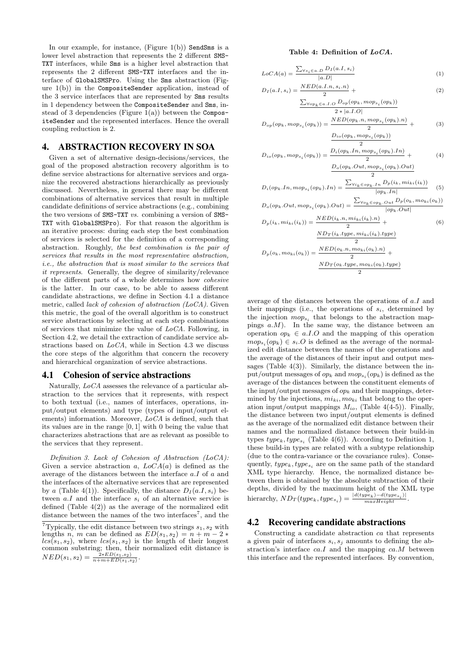In our example, for instance, (Figure  $1(b)$ ) SendSms is a lower level abstraction that represents the 2 different SMS-TXT interfaces, while Sms is a higher level abstraction that represents the 2 different SMS-TXT interfaces and the interface of GlobalSMSPro. Using the Sms abstraction (Figure 1(b)) in the CompositeSender application, instead of the 3 service interfaces that are represented by Sms results in 1 dependency between the CompositeSender and Sms, instead of 3 dependencies (Figure  $1(a)$ ) between the CompositeSender and the represented interfaces. Hence the overall coupling reduction is 2.

# 4. ABSTRACTION RECOVERY IN SOA

Given a set of alternative design-decisions/services, the goal of the proposed abstraction recovery algorithm is to define service abstractions for alternative services and organize the recovered abstractions hierarchically as previously discussed. Nevertheless, in general there may be different combinations of alternative services that result in multiple candidate definitions of service abstractions (e.g., combining the two versions of SMS-TXT vs. combining a version of SMS-TXT with GlobalSMSPro). For that reason the algorithm is an iterative process: during each step the best combination of services is selected for the definition of a corresponding abstraction. Roughly, the best combination is the pair of services that results in the most representative abstraction, i.e., the abstraction that is most similar to the services that it represents. Generally, the degree of similarity/relevance of the different parts of a whole determines how cohesive is the latter. In our case, to be able to assess different candidate abstractions, we define in Section 4.1 a distance metric, called lack of cohesion of abstraction (LoCA). Given this metric, the goal of the overall algorithm is to construct service abstractions by selecting at each step combinations of services that minimize the value of LoCA. Following, in Section 4.2, we detail the extraction of candidate service abstractions based on LoCA, while in Section 4.3 we discuss the core steps of the algorithm that concern the recovery and hierarchical organization of service abstractions.

#### 4.1 Cohesion of service abstractions

Naturally, LoCA assesses the relevance of a particular abstraction to the services that it represents, with respect to both textual (i.e., names of interfaces, operations, input/output elements) and type (types of input/output elements) information. Moreover, LoCA is defined, such that its values are in the range [0, 1] with 0 being the value that characterizes abstractions that are as relevant as possible to the services that they represent.

Definition 3. Lack of Cohesion of Abstraction (LoCA): Given a service abstraction a,  $LoCA(a)$  is defined as the average of the distances between the interface a.I of a and the interfaces of the alternative services that are represented by a (Table 4(1)). Specifically, the distance  $D_I(a,I,s_i)$  between  $a.I$  and the interface  $s_i$  of an alternative service is defined (Table 4(2)) as the average of the normalized edit distance between the names of the two interfaces<sup>7</sup>, and the

#### Table 4: Definition of LoCA.

$$
LoCA(a) = \frac{\sum_{\forall s_i \in a.D} D_I(a.I, s_i)}{|a.D|}
$$
(1)

$$
D_I(a.I, s_i) = \frac{NED(a.I.n, s_i.n)}{2} + \sum_{\text{Norm } \in \mathcal{S}_I, I, O} D_{op}(op_k, mop_{s_i}(op_k))
$$
\n
$$
(2)
$$

$$
\frac{\sum_{\forall op_k \in a.I.O} D_{op}(op_k, mop_{s_i}(op_k))}{2 * |a.I.O|}
$$
  
2 \* |a.I.O|  
1 (on. 201) - NED(op\_k.n, mop<sub>s\_i</sub>(op\_k).n)

$$
D_{op}(op_k, mop_{s_i}(op_k)) = \frac{1}{2} + \frac{1}{2}
$$
\n
$$
D_{io}(op_k, mop_{s_i}(op_k))
$$
\n
$$
(3)
$$

$$
D_{io}(op_k, mop_{s_i}(op_k)) = \frac{D_i(op_k. In, mop_{s_i}(op_k). In)}{2} + (4)
$$
  

$$
D_o(op_k. Out, mop_{s_i}(op_k). Out)
$$

$$
D_i(op_k. In, mop_{s_i}(op_k).In) = \frac{\sum_{\forall i_k \in op_k. In} D_p(i_k, mi_{ki}(i_k))}{|op_k.In|}
$$
(5)

$$
D_o(op_k. Out, mop_{s_i}(op_k).Out) = \frac{\sum_{\forall o_k \in op_k. Out} D_p(o_k, mo_{k}(o_k))}{|op_k. Out|}
$$

$$
D_p(i_k, mi_{ki}(i_k)) = \frac{NED(i_k.n, mi_{ki}(i_k).n)}{2} + \tag{6}
$$

$$
D_p(o_k, mo_{ki}(o_k)) = \frac{N D_T(i_k, type, mi_{ki}(i_k), type)}{2}
$$

$$
D_p(o_k, mo_{ki}(o_k)) = \frac{N E D(o_k, n, mo_{ki}(o_k), n)}{2} + \frac{N D_T(o_k, type, mo_{ki}(o_k), type)}{2}
$$

average of the distances between the operations of a.I and their mappings (i.e., the operations of  $s_i$ , determined by the injection  $mop_{s_i}$  that belongs to the abstraction mappings  $a.M$ ). In the same way, the distance between an operation  $op_k \in a.I.O$  and the mapping of this operation  $mop_{s_i}(op_k) \in s_i.O$  is defined as the average of the normalized edit distance between the names of the operations and the average of the distances of their input and output messages (Table  $4(3)$ ). Similarly, the distance between the input/output messages of  $op_k$  and  $mop_{s_i}(op_k)$  is defined as the average of the distances between the constituent elements of the input/output messages of  $op<sub>k</sub>$  and their mappings, determined by the injections,  $mi_{ki}, mo_{ki}$  that belong to the operation input/output mappings  $M_{io}$ , (Table 4(4-5)). Finally, the distance between two input/output elements is defined as the average of the normalized edit distance between their names and the normalized distance between their build-in types  $type_k, type_{s_i}$  (Table 4(6)). According to Definition 1, these build-in types are related with a subtype relationship (due to the contra-variance or the covariance rules). Consequently,  $type_k, type_{s_i}$  are on the same path of the standard XML type hierarchy. Hence, the normalized distance between them is obtained by the absolute subtraction of their depths, divided by the maximum height of the XML type hierarchy,  $ND_T(type_k, type_{s_i}) = \frac{|d(type_k) - d(type_{s_i})|}{maxHeight}$ .

#### 4.2 Recovering candidate abstractions

Constructing a candidate abstraction ca that represents a given pair of interfaces  $s_i, s_j$  amounts to defining the abstraction's interface  $ca.I$  and the mapping  $ca.M$  between this interface and the represented interfaces. By convention,

<sup>&</sup>lt;sup>7</sup>Typically, the edit distance between two strings  $s_1, s_2$  with lengths n, m can be defined as  $ED(s_1, s_2) = n + m - 2$  $lcs(s_1, s_2)$ , where  $lcs(s_1, s_2)$  is the length of their longest common substring; then, their normalized edit distance is  $NED(s_1, s_2) = \frac{2*ED(s_1, s_2)}{n+m+ED(s_1, s_2)}$ .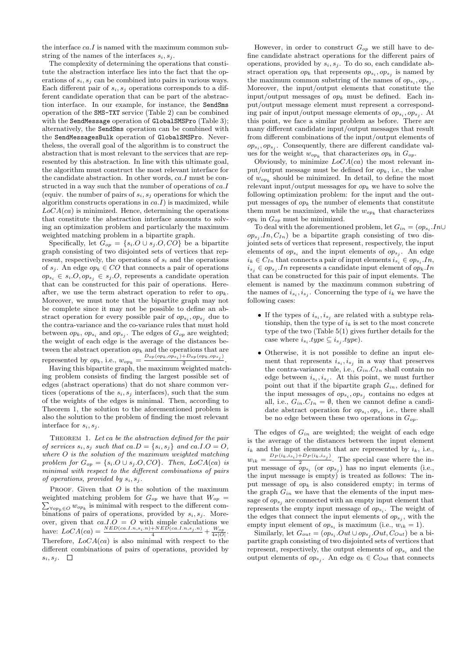the interface  $ca.I$  is named with the maximum common substring of the names of the interfaces  $s_i, s_j$ .

The complexity of determining the operations that constitute the abstraction interface lies into the fact that the operations of  $s_i, s_j$  can be combined into pairs in various ways. Each different pair of  $s_i, s_j$  operations corresponds to a different candidate operation that can be part of the abstraction interface. In our example, for instance, the SendSms operation of the SMS-TXT service (Table 2) can be combined with the SendMessage operation of GlobalSMSPro (Table 3); alternatively, the SendSms operation can be combined with the SendMessagesBulk operation of GlobalSMSPro. Nevertheless, the overall goal of the algorithm is to construct the abstraction that is most relevant to the services that are represented by this abstraction. In line with this ultimate goal, the algorithm must construct the most relevant interface for the candidate abstraction. In other words, ca.I must be constructed in a way such that the number of operations of  $ca.\dot{I}$ (equiv. the number of pairs of  $s_i, s_j$  operations for which the algorithm constructs operations in  $ca.\dot{I}$  is maximized, while  $LoCA(ca)$  is minimized. Hence, determining the operations that constitute the abstraction interface amounts to solving an optimization problem and particularly the maximum weighted matching problem in a bipartite graph.

Specifically, let  $G_{op} = \{s_i O \cup s_j O, CO\}$  be a bipartite graph consisting of two disjointed sets of vertices that represent, respectively, the operations of  $s_i$  and the operations of  $s_j$ . An edge  $op_k \in CO$  that connects a pair of operations  $op_{s_i} \in s_i.O, op_{s_j} \in s_j.O$ , represents a candidate operation that can be constructed for this pair of operations. Hereafter, we use the term abstract operation to refer to  $op_k$ . Moreover, we must note that the bipartite graph may not be complete since it may not be possible to define an abstract operation for every possible pair of  $op_{s_i}, op_{s_j}$  due to the contra-variance and the co-variance rules that must hold between  $op_k$ ,  $op_{s_i}$  and  $op_{s_j}$ . The edges of  $G_{op}$  are weighted; the weight of each edge is the average of the distances between the abstract operation  $op_k$  and the operations that are represented by  $op_k$ , i.e.,  $w_{op_k} = \frac{D_{op}(op_k, op_{s_i}) + D_{op}(op_k, op_{s_j})}{2}$ 2 .

Having this bipartite graph, the maximum weighted matching problem consists of finding the largest possible set of edges (abstract operations) that do not share common vertices (operations of the  $s_i, s_j$  interfaces), such that the sum of the weights of the edges is minimal. Then, according to Theorem 1, the solution to the aforementioned problem is also the solution to the problem of finding the most relevant interface for  $s_i, s_j$ .

THEOREM 1. Let ca be the abstraction defined for the pair of services  $s_i, s_j$  such that  $ca.D = \{s_i, s_j\}$  and  $ca.I.O = O$ , where O is the solution of the maximum weighted matching problem for  $G_{op} = \{s_i.O \cup s_j.O, CO\}$ . Then,  $LoCA(ca)$  is minimal with respect to the different combinations of pairs of operations, provided by  $s_i, s_j$ .

PROOF. Given that  $O$  is the solution of the maximum  $\sum_{\forall op_k \in O} w_{op_k}$  is minimal with respect to the different comweighted matching problem for  $G_{op}$  we have that  $W_{op}$  = binations of pairs of operations, provided by  $s_i, s_j$ . Moreover, given that  $ca.I.O = O$  with simple calculations we have:  $LoCA(ca) = \frac{NED(ca.1.n,s_i.n) + NED(ca.1.n,s_j.n)}{4} + \frac{W_{op}}{4 * |O|}.$ Therefore,  $LoCA(ca)$  is also minimal with respect to the different combinations of pairs of operations, provided by  $s_i, s_j$ .  $\Box$ 

However, in order to construct  $G_{op}$  we still have to define candidate abstract operations for the different pairs of operations, provided by  $s_i, s_j$ . To do so, each candidate abstract operation  $op_k$  that represents  $op_{s_i}, op_{s_j}$  is named by the maximum common substring of the names of  $op_{s_i}, op_{s_j}$ . Moreover, the input/output elements that constitute the input/output messages of  $op_k$  must be defined. Each input/output message element must represent a corresponding pair of input/output message elements of  $op_{s_i}, op_{s_j}$ . At this point, we face a similar problem as before. There are many different candidate input/output messages that result from different combinations of the input/output elements of  $op_{s_i}, op_{s_j}$ . Consequently, there are different candidate values for the weight  $w_{op_k}$  that characterizes  $op_k$  in  $G_{op}$ .

Obviously, to minimize  $LoCA(ca)$  the most relevant input/output message must be defined for  $op_k$ , i.e., the value of  $w_{op_k}$  should be minimized. In detail, to define the most relevant input/output messages for  $op_k$  we have to solve the following optimization problem: for the input and the output messages of  $op_k$  the number of elements that constitute them must be maximized, while the  $w_{op_k}$  that characterizes  $op_k$  in  $G_{op}$  must be minimized.

To deal with the aforementioned problem, let  $G_{in} = (op_{s_i}.In \cup$  $op_{s_j}.In, C_{In}$ ) be a bipartite graph consisting of two disjointed sets of vertices that represent, respectively, the input elements of  $op_{s_i}$  and the input elements of  $op_{s_j}$ . An edge  $i_k \in C_{In}$  that connects a pair of input elements  $i_{s_i} \in op_{s_i}.In$ ,  $i_{s_j} \in op_{s_j}.In$  represents a candidate input element of  $op_kIn$ that can be constructed for this pair of input elements. The element is named by the maximum common substring of the names of  $i_{s_i}, i_{s_j}$ . Concerning the type of  $i_k$  we have the following cases:

- If the types of  $i_{s_i}, i_{s_j}$  are related with a subtype relationship, then the type of  $i_k$  is set to the most concrete type of the two (Table 5(1) gives further details for the case where  $i_{s_i}.type \subseteq i_{s_j}.type$ .
- Otherwise, it is not possible to define an input element that represents  $i_{s_i}, i_{s_j}$  in a way that preserves the contra-variance rule, i.e.,  $G_{in}.C_{In}$  shall contain no edge between  $i_{s_i}, i_{s_j}$ . At this point, we must further point out that if the bipartite graph  $G_{in}$ , defined for the input messages of  $op_{s_i}, op_{s_j}$  contains no edges at all, i.e.,  $G_{in}.C_{In} = \emptyset$ , then we cannot define a candidate abstract operation for  $op_{s_i}, op_{s_j}$  i.e., there shall be no edge between these two operations in  $G_{op}$ .

The edges of  $G_{in}$  are weighted; the weight of each edge is the average of the distances between the input element  $i_k$  and the input elements that are represented by  $i_k$ , i.e.,  $w_{ik} = \frac{D_P(i_k, i_{s_i}) + D_P(i_k, i_{s_j})}{2}$ . The special case where the in $w_{ik}$  –<br>put message of  $op_{s_i}$  (or  $op_{s_j}$ ) has no input elements (i.e., the input message is empty) is treated as follows: The input message of  $op_k$  is also considered empty; in terms of the graph  $G_{in}$  we have that the elements of the input message of  $op_{s_i}$  are connected with an empty input element that represents the empty input message of  $op_{s_i}$ . The weight of the edges that connect the input elements of  $op_{s_j}$ , with the empty input element of  $op_{s_i}$  is maximum (i.e.,  $w_{ik} = 1$ ).

Similarly, let  $G_{out} = (op_{s_i}.Out \cup op_{s_j}.Out, C_{Out})$  be a bipartite graph consisting of two disjointed sets of vertices that represent, respectively, the output elements of  $op_{s_i}$  and the output elements of  $op_{s_j}$ . An edge  $o_k \in \mathcal{C}_{Out}$  that connects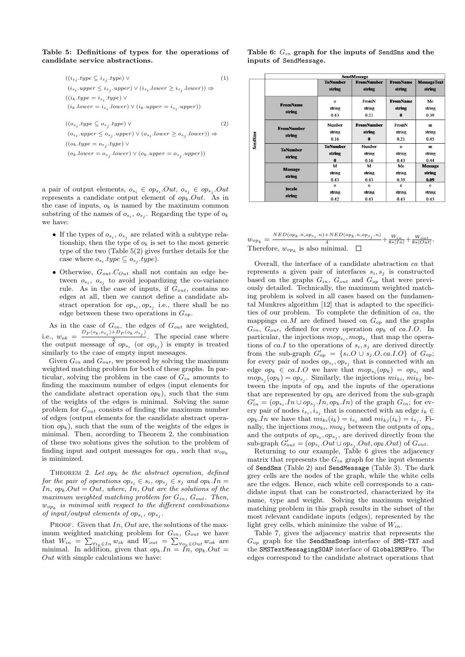#### Table 5: Definitions of types for the operations of candidate service abstractions.

$$
\begin{array}{lcl} & ((i_{s_i}.type \subseteq i_{s_j}.type) \vee & & (1) \\ & (i_{s_i}.upper \leq i_{s_j}.upper) \vee (i_{s_i}.lower \geq i_{s_j}.lower)) \Rightarrow \\ & ((i_k.type = i_{s_i}.type) \vee \\ & (i_k.lower = i_{s_i}.lower) \vee (i_k.upper = i_{s_i}.upper)) \\ & ((o_{s_i}.type \subseteq o_{s_j}.type) \vee & & (2) \\ & (o_{s_i}.upper \leq o_{s_j}.upper) \vee (o_{s_i}.lower \geq o_{s_j}.lower)) \Rightarrow \\ & ((o_k.layer = o_{s_j}.lower) \vee \\ & (o_k.lower = o_{s_j}.lower) \vee (o_k.upper = o_{s_j}.upper)) \end{array}
$$

a pair of output elements,  $o_{s_i} \in op_{s_i}.Out, o_{s_j} \in op_{s_j}.Out$ represents a candidate output element of  $op_k.out$ . As in the case of inputs,  $o_k$  is named by the maximum common substring of the names of  $o_{s_i}, o_{s_j}$ . Regarding the type of  $o_k$ we have:

- If the types of  $o_{s_i}, o_{s_j}$  are related with a subtype relationship, then the type of  $o_k$  is set to the most generic type of the two (Table 5(2) gives further details for the case where  $o_{s_i}.type \subseteq o_{s_j}.type$ .
- Otherwise,  $G_{out}.C_{Out}$  shall not contain an edge between  $o_{s_i}$ ,  $o_{s_j}$  to avoid jeopardizing the co-variance rule. As in the case of inputs, if  $G_{out}$ , contains no edges at all, then we cannot define a candidate abstract operation for  $op_{s_i}, op_{s_j}$  i.e., there shall be no edge between these two operations in  $G_{op}$ .

As in the case of  $G_{in}$ , the edges of  $G_{out}$  are weighted, i.e.,  $w_{ok} = \frac{D_P(o_k, o_{s_i}) + D_P(o_k, o_{s_j})}{2}$  $\frac{12}{2}$ . The special case where the output message of  $op_{s_i}$  (or  $op_{s_j}$ ) is empty is treated similarly to the case of empty input messages.

Given  $G_{in}$  and  $G_{out}$ , we proceed by solving the maximum weighted matching problem for both of these graphs. In particular, solving the problem in the case of  $G_{in}$  amounts to finding the maximum number of edges (input elements for the candidate abstract operation  $op_k$ ), such that the sum of the weights of the edges is minimal. Solving the same problem for  $G_{out}$  consists of finding the maximum number of edges (output elements for the candidate abstract operation  $op_k$ ), such that the sum of the weights of the edges is minimal. Then, according to Theorem 2, the combination of these two solutions gives the solution to the problem of finding input and output messages for  $op_k$ , such that  $w_{op_k}$ is minimized.

THEOREM 2. Let  $op_k$  be the abstract operation, defined for the pair of operations  $op_{s_i} \in s_i$ ,  $op_{s_i} \in s_j$  and  $op_kIn =$ In,  $op_k Out = Out$ , where, In, Out are the solutions of the maximum weighted matching problem for  $G_{in}$ ,  $G_{out}$ . Then,  $w_{op_k}$  is minimal with respect to the different combinations of input/output elements of  $op_{s_i}$ ,  $op_{s_j}$ .

PROOF. Given that  $In, Out$  are, the solutions of the maximum weighted matching problem for  $G_{in}$ ,  $G_{out}$  we have that  $W_{in} = \sum_{\forall i_k \in In} w_{ik}$  and  $W_{out} = \sum_{\forall o_k \in Out} w_{ok}$  are minimal. In addition, given that  $op_k In = In, op_k Out =$ Out with simple calculations we have:

Table 6:  $G_{in}$  graph for the inputs of SendSms and the inputs of SendMessage.

|         | SendMessage                 |                                                          |                   |                           |                              |  |  |  |
|---------|-----------------------------|----------------------------------------------------------|-------------------|---------------------------|------------------------------|--|--|--|
|         |                             | <b>FromNumber</b><br><b>ToNumber</b><br>string<br>string |                   | <b>FromName</b><br>string | <b>MessageText</b><br>string |  |  |  |
|         |                             |                                                          |                   |                           |                              |  |  |  |
|         | <b>FromName</b>             | $\Omega$                                                 | FromN             | <b>FromName</b>           | Me                           |  |  |  |
|         |                             | string                                                   | string            | string                    | string                       |  |  |  |
|         | string                      | 0.43                                                     | 0.21              | $\bf{0}$                  | 0.39                         |  |  |  |
|         | <b>FromNumber</b><br>string | Number                                                   | <b>FromNumber</b> | FromN                     | $\mathbf{m}$                 |  |  |  |
|         |                             | string                                                   | string            | string                    | string                       |  |  |  |
| SendSms |                             | 0.16                                                     | 0                 | 0.21                      | 0.45                         |  |  |  |
|         | <b>ToNumber</b><br>string   | <b>ToNumber</b>                                          | Number            | $\Omega$                  | m                            |  |  |  |
|         |                             | string                                                   | string            | string                    | string                       |  |  |  |
|         |                             | 0                                                        | 0.16              | 0.43                      | 0.44                         |  |  |  |
|         | <b>Message</b><br>string    | M                                                        | M                 | Me                        | <b>Message</b>               |  |  |  |
|         |                             | string                                                   | string            | string                    | string                       |  |  |  |
|         |                             | 0.43                                                     | 0.43              | 0.39                      | 0.09                         |  |  |  |
|         | locale                      | $\Omega$                                                 | $\Omega$          | e                         | e                            |  |  |  |
|         |                             | string                                                   | string            | string                    | string                       |  |  |  |
|         | string                      | 0.42                                                     | 0.43              | 0.43                      | 0.43                         |  |  |  |

 $w_{op_k} = \frac{{}_{NED(op_k..n,op_{s_i}.n) + NED(op_k.n,op_{s_j}.n)}}{4} + \frac{W_{in}}{8 * |In|} + \frac{W_{out}}{8 * |Out|}.$ Therefore,  $w_{op_k}$  is also minimal.

Overall, the interface of a candidate abstraction ca that represents a given pair of interfaces  $s_i, s_j$  is constructed based on the graphs  $G_{in}$ ,  $G_{out}$  and  $G_{op}$  that were previously detailed. Technically, the maximum weighted matching problem is solved in all cases based on the fundamental Munkres algorithm [12] that is adapted to the specificities of our problem. To complete the definition of ca, the mappings  $ca.M$  are defined based on  $G_{op}$  and the graphs  $G_{in}$ ,  $G_{out}$ , defined for every operation  $op_k$  of ca.I.O. In particular, the injections  $mop_{s_i}, mop_{s_j}$  that map the operations of ca.I to the operations of  $s_i, s_j$  are derived directly from the sub-graph  $G'_{op} = \{s_i.O \cup s_j.O, ca.I.O\}$  of  $G_{op}$ ; for every pair of nodes  $op_{s_i}, op_{s_j}$  that is connected with an edge  $op_k \in ca.I.O$  we have that  $mop_{s_i}(op_k) = op_{s_i}$  and  $mop_{s_j}(op_k) = op_{s_j}$ . Similarly, the injections  $mi_{ki}, mi_{kj}$  between the inputs of  $op_k$  and the inputs of the operations that are represented by  $op_k$  are derived from the sub-graph  $G'_{in} = (op_{s_i}.In \cup op_{s_j}.In, op_k.In)$  of the graph  $G_{in}$ ; for every pair of nodes  $i_{s_i}, i_{s_j}$  that is connected with an edge  $i_k \in$  $op_kIn$  we have that  $mi_{ki}(i_k) = i_{s_i}$  and  $mi_{kj}(i_k) = i_{s_j}$ . Finally, the injections  $mo_{ki}$ ,  $mo_{kj}$  between the outputs of  $op_k$ , and the outputs of  $op_{s_i}, op_{s_j}$ , are derived directly from the sub-graph  $G'_{out} = (op_{s_i}.Out \cup op_{s_j}.Out, op_k.Out)$  of  $G_{out}.$ 

Returning to our example, Table 6 gives the adjacency matrix that represents the  $G_{in}$  graph for the input elements of SendSms (Table 2) and SendMessage (Table 3). The dark grey cells are the nodes of the graph, while the white cells are the edges. Hence, each white cell corresponds to a candidate input that can be constructed, characterized by its name, type and weight. Solving the maximum weighted matching problem in this graph results in the subset of the most relevant candidate inputs (edges), represented by the light grey cells, which minimize the value of  $W_{in}$ .

Table 7, gives the adjacency matrix that represents the  $G_{op}$  graph for the SendSmsSoap interface of SMS-TXT and the SMSTextMessagingSOAP interface of GlobalSMSPro. The edges correspond to the candidate abstract operations that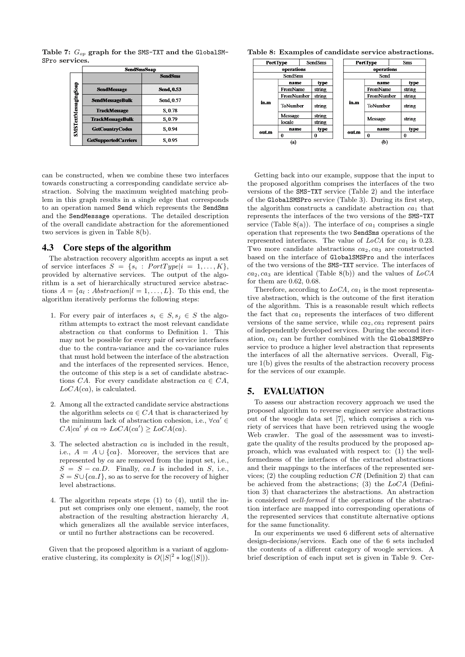Table 7:  $G_{op}$  graph for the SMS-TXT and the GlobalSM-SPro services.

|                      | SendSmsSoap                 |                   |
|----------------------|-----------------------------|-------------------|
|                      |                             | <b>SendSms</b>    |
|                      | <b>SendMessage</b>          | <b>Send, 0.53</b> |
|                      | <b>SendMessageBulk</b>      | Send, 0.57        |
|                      | <b>TrackMessage</b>         | S.0.78            |
|                      | <b>TrackMessageBulk</b>     | S.0.79            |
| SMSTextMessagingSoap | <b>GetCountryCodes</b>      | S.0.94            |
|                      | <b>GetSupportedCarriers</b> | S.0.95            |

can be constructed, when we combine these two interfaces towards constructing a corresponding candidate service abstraction. Solving the maximum weighted matching problem in this graph results in a single edge that corresponds to an operation named Send which represents the SendSms and the SendMessage operations. The detailed description of the overall candidate abstraction for the aforementioned two services is given in Table 8(b).

# 4.3 Core steps of the algorithm

The abstraction recovery algorithm accepts as input a set of service interfaces  $S = \{s_i : PortType | i = 1, ..., K\},\$ provided by alternative services. The output of the algorithm is a set of hierarchically structured service abstractions  $A = \{a_l : Abstraction | l = 1, ..., L\}$ . To this end, the algorithm iteratively performs the following steps:

- 1. For every pair of interfaces  $s_i \in S$ ,  $s_j \in S$  the algorithm attempts to extract the most relevant candidate abstraction ca that conforms to Definition 1. This may not be possible for every pair of service interfaces due to the contra-variance and the co-variance rules that must hold between the interface of the abstraction and the interfaces of the represented services. Hence, the outcome of this step is a set of candidate abstractions CA. For every candidate abstraction  $ca \in CA$ ,  $LoCA(ca)$ , is calculated.
- 2. Among all the extracted candidate service abstractions the algorithm selects  $ca \in CA$  that is characterized by the minimum lack of abstraction cohesion, i.e.,  $\forall ca' \in$  $CA|ca' \neq ca \Rightarrow LoCA(ca') \geq LoCA(ca).$
- 3. The selected abstraction ca is included in the result, i.e.,  $A = A \cup \{ca\}$ . Moreover, the services that are represented by ca are removed from the input set, i.e.,  $S = S - ca.D.$  Finally, ca.*I* is included in *S*, i.e.,  $S = S \cup \{ca.I\}$ , so as to serve for the recovery of higher level abstractions.
- 4. The algorithm repeats steps (1) to (4), until the input set comprises only one element, namely, the root abstraction of the resulting abstraction hierarchy A, which generalizes all the available service interfaces, or until no further abstractions can be recovered.

Given that the proposed algorithm is a variant of agglomerative clustering, its complexity is  $O(|S|^2 * \log(|S|)).$ 

Table 8: Examples of candidate service abstractions.

|      | <b>SendSms</b><br>PortType |        |      | PortType          |            | <b>Sms</b> |        |
|------|----------------------------|--------|------|-------------------|------------|------------|--------|
|      | operations                 |        |      | operations        |            |            |        |
|      | <b>SendSms</b>             |        |      | Send              |            |            |        |
|      | name                       | type   |      |                   | name       |            | type   |
|      | FromName                   | string | in.m |                   | FromName   |            | string |
|      | FromNumber                 | string |      |                   | FromNumber |            | string |
| in.m | ToNumber                   | string |      |                   | ToNumber   |            | string |
|      | Message                    | string |      |                   | Message    |            |        |
|      | locale                     | string |      |                   |            |            | string |
|      | name                       | type   |      |                   | name       |            | type   |
| outm | 0<br>0                     |        |      | outm              | 0          |            | 0      |
| (a)  |                            |        |      | $\left( b\right)$ |            |            |        |

Getting back into our example, suppose that the input to the proposed algorithm comprises the interfaces of the two versions of the SMS-TXT service (Table 2) and the interface of the GlobalSMSPro service (Table 3). During its first step, the algorithm constructs a candidate abstraction  $ca_1$  that represents the interfaces of the two versions of the SMS-TXT service (Table 8(a)). The interface of  $ca_1$  comprises a single operation that represents the two SendSms operations of the represented interfaces. The value of  $LoCA$  for  $ca<sub>1</sub>$  is 0.23. Two more candidate abstractions  $ca_2, ca_3$  are constructed based on the interface of GlobalSMSPro and the interfaces of the two versions of the SMS-TXT service. The interfaces of  $ca_2, ca_3$  are identical (Table 8(b)) and the values of  $LoCA$ for them are 0.62, 0.68.

Therefore, according to  $LoCA$ ,  $ca<sub>1</sub>$  is the most representative abstraction, which is the outcome of the first iteration of the algorithm. This is a reasonable result which reflects the fact that  $ca<sub>1</sub>$  represents the interfaces of two different versions of the same service, while  $ca_2, ca_3$  represent pairs of independently developed services. During the second iteration,  $ca_1$  can be further combined with the GlobalSMSPro service to produce a higher level abstraction that represents the interfaces of all the alternative services. Overall, Figure 1(b) gives the results of the abstraction recovery process for the services of our example.

### 5. EVALUATION

To assess our abstraction recovery approach we used the proposed algorithm to reverse engineer service abstractions out of the woogle data set [7], which comprises a rich variety of services that have been retrieved using the woogle Web crawler. The goal of the assessment was to investigate the quality of the results produced by the proposed approach, which was evaluated with respect to: (1) the wellformedness of the interfaces of the extracted abstractions and their mappings to the interfaces of the represented services; (2) the coupling reduction  $CR$  (Definition 2) that can be achieved from the abstractions; (3) the  $LoCA$  (Definition 3) that characterizes the abstractions. An abstraction is considered well-formed if the operations of the abstraction interface are mapped into corresponding operations of the represented services that constitute alternative options for the same functionality.

In our experiments we used 6 different sets of alternative design-decisions/services. Each one of the 6 sets included the contents of a different category of woogle services. A brief description of each input set is given in Table 9. Cer-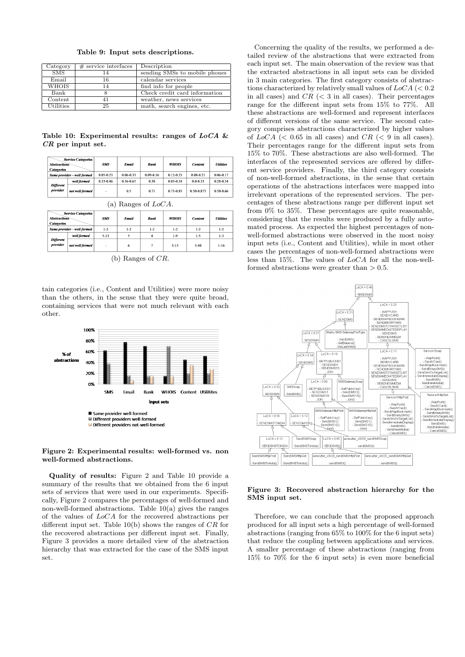|  |  |  |  | Table 9: Input sets descriptions. |
|--|--|--|--|-----------------------------------|
|--|--|--|--|-----------------------------------|

| Category     | $#$ service interfaces | Description                   |
|--------------|------------------------|-------------------------------|
| SMS          |                        | sending SMSs to mobile phones |
| Email        | 16                     | calendar services             |
| <b>WHOIS</b> |                        | find info for people          |
| Bank         |                        | Check credit card information |
| Content      |                        | weather, news services        |
| Utilities    | 25                     | math, search engines, etc.    |

Table 10: Experimental results: ranges of  $LoCA$  & CR per input set.

| <b>Service Categories</b><br><b>Abstractions</b><br><b>Categories</b> |                             | SMS       | Email         | Bank          | <b>WHOIS</b>  | <b>Content</b> | <b>Utilities</b>               |
|-----------------------------------------------------------------------|-----------------------------|-----------|---------------|---------------|---------------|----------------|--------------------------------|
|                                                                       | Same provider - well formed | 0.05-0.23 | $0.06 - 0.33$ | $0.09 - 0.16$ | $0.12 - 0.23$ | $0.08 - 0.21$  | $0.06 - 0.17$                  |
|                                                                       | well formed                 | 0.33-0.46 | 0.36-0.65     | 0.30          | 0.03-0.34     | $0.0 - 0.33$   | 0.28-0.54                      |
| Different<br>provider                                                 | not well formed             | ۰         | 0.5           | 0.71          | 0.73-0.85     | 0.50-0.875     | 0.50-0.66                      |
| (a) Ranges of $LoCA$ .                                                |                             |           |               |               |               |                |                                |
| <b>Abstractions</b><br><b>Categories</b>                              | <b>Service Categories</b>   | SMS       | Email         | Bank          | <b>WHOIS</b>  | <b>Content</b> | <b><i><u>Utilities</u></i></b> |
|                                                                       |                             |           |               |               |               |                |                                |

(b) Ranges of CR.

 $1-9$ 

 $3 - 13$ 

 $1-5$ 

 $3 - 40$ 

 $\overline{1-3}$ 

 $1-16$ 

well formed

ot well for

Differen

 $5-13$ 

tain categories (i.e., Content and Utilities) were more noisy than the others, in the sense that they were quite broad, containing services that were not much relevant with each other.



#### Figure 2: Experimental results: well-formed vs. non well-formed abstractions.

Quality of results: Figure 2 and Table 10 provide a summary of the results that we obtained from the 6 input sets of services that were used in our experiments. Specifically, Figure 2 compares the percentages of well-formed and non-well-formed abstractions. Table 10(a) gives the ranges of the values of LoCA for the recovered abstractions per different input set. Table  $10(b)$  shows the ranges of  $CR$  for the recovered abstractions per different input set. Finally, Figure 3 provides a more detailed view of the abstraction hierarchy that was extracted for the case of the SMS input set.

Concerning the quality of the results, we performed a detailed review of the abstractions that were extracted from each input set. The main observation of the review was that the extracted abstractions in all input sets can be divided in 3 main categories. The first category consists of abstractions characterized by relatively small values of  $LoCA$  (< 0.2) in all cases) and  $CR$  ( $\lt$  3 in all cases). Their percentages range for the different input sets from 15% to 77%. All these abstractions are well-formed and represent interfaces of different versions of the same service. The second category comprises abstractions characterized by higher values of  $LoCA \ll 0.65$  in all cases) and  $CR \ll 9$  in all cases). Their percentages range for the different input sets from 15% to 70%. These abstractions are also well-formed. The interfaces of the represented services are offered by different service providers. Finally, the third category consists of non-well-formed abstractions, in the sense that certain operations of the abstractions interfaces were mapped into irrelevant operations of the represented services. The percentages of these abstractions range per different input set from 0% to 35%. These percentages are quite reasonable, considering that the results were produced by a fully automated process. As expected the highest percentages of nonwell-formed abstractions were observed in the most noisy input sets (i.e., Content and Utilities), while in most other cases the percentages of non-well-formed abstractions were less than 15%. The values of LoCA for all the non-wellformed abstractions were greater than  $> 0.5$ .



#### Figure 3: Recovered abstraction hierarchy for the SMS input set.

Therefore, we can conclude that the proposed approach produced for all input sets a high percentage of well-formed abstractions (ranging from 65% to 100% for the 6 input sets) that reduce the coupling between applications and services. A smaller percentage of these abstractions (ranging from 15% to 70% for the 6 input sets) is even more beneficial